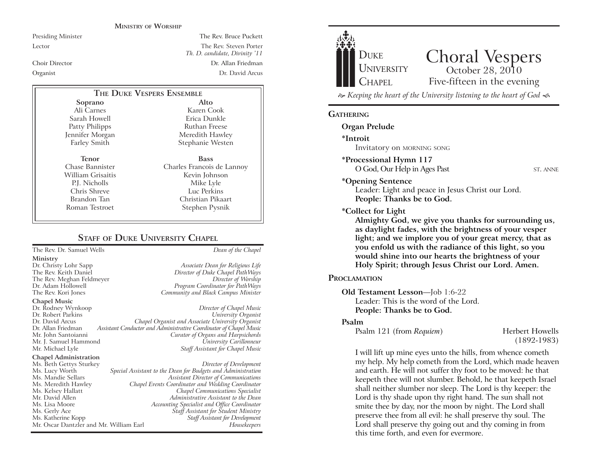#### **MINISTRY OF WORSHIP**

Presiding Minister The Rev. Bruce Puckett Lector The Rev. Steven Porter *Th. D. candidate, Divinity '11* Choir Director Dr. Allan Friedman Organist Dr. David Arcus

# **THE DUKE VESPERS ENSEMBLE**

**Soprano** Ali Carnes Sarah Howell Patty Philipps Jennifer Morgan Farley Smith

**Tenor** Chase Bannister William Grisaitis P.J. Nicholls Chris Shreve Brandon Tan Roman Testroet

Meredith Hawley Stephanie Westen **Bass** Charles Francois de Lannoy Kevin Johnson Mike Lyle Luc Perkins Christian Pikaart Stephen Pysnik

**Alto** Karen Cook Erica Dunkle Ruthan Freese

# **STAFF** OF **DUKE UNIVERSITY CHAPEL**

The Rev. Dr. Samuel Wells *Dean of the Chapel*

- **Ministry**
- 

**Chapel Music**

Dr. Rodney Wynkoop *Director of Chapel Music* Dr. David Arcus *Chapel Organist and Associate University Organist* Dr. Allan Friedman *Assistant Conductor and Administrative Coordinator of Chapel Music* Mr. J. Samuel Hammond *University Carillonneur*

#### **Chapel Administration**

Mr. Oscar Dantzler and Mr. William Earl

Dr. Christy Lohr Sapp *Associate Dean for Religious Life* Director of Duke Chapel PathWays The Rev. Meghan Feldmeyer *Director of Worship* Dr. Adam Hollowell *Program Coordinator for PathWays* The Rev. Kori Jones *Community and Black Campus Minister*

# $University$  *Organist* **Curator of Organs and Harpsichords Staff Assistant for Chapel Music**

Ms. Beth Gettys Sturkey *Director of Development* Ms. Lucy Worth *Special Assistant to the Dean for Budgets and Administration* Ms. Mandie Sellars *Assistant Director of Communications* Ms. Meredith Hawley *Chapel Events Coordinator and Wedding Coordinator* Ms. Kelsey Hallatt *Chapel Communications Specialist* Mr. David Allen *Administrative Assistant to the Dean* Ms. Lisa Moore *Accounting Specialist and Office Coordinator* Ms. Gerly Ace *Staff Assistant for Student Ministry* Ms. Katherine Kopp *Staff Assistant for Development*



## **GATHERING**

**Organ Prelude**

**\*Introit** 

Invitatory on MORNING SONG

**\*Processional Hymn 117**

O God, Our Help in Ages Past ST. ANNE

**\*Opening Sentence**

Leader: Light and peace in Jesus Christ our Lord. **People: Thanks be to God.**

**\*Collect for Light**

**Almighty God, we give you thanks for surrounding us, as daylight fades, with the brightness of your vesper light; and we implore you of your great mercy, that as you enfold us with the radiance of this light, so you would shine into our hearts the brightness of your Holy Spirit; through Jesus Christ our Lord. Amen.** 

# **PROCLAMATION**

**Old Testament Lesson**—Job 1:6-22

Leader: This is the word of the Lord.

**People: Thanks be to God.**

# **Psalm**

Psalm 121 (from *Requiem*) Herbert Howells

(1892-1983)

I will lift up mine eyes unto the hills, from whence cometh my help. My help cometh from the Lord, which made heaven and earth. He will not suffer thy foot to be moved: he that keepeth thee will not slumber. Behold, he that keepeth Israel shall neither slumber nor sleep. The Lord is thy keeper: the Lord is thy shade upon thy right hand. The sun shall not smite thee by day, nor the moon by night. The Lord shall preserve thee from all evil: he shall preserve thy soul. The Lord shall preserve thy going out and thy coming in from this time forth, and even for evermore.